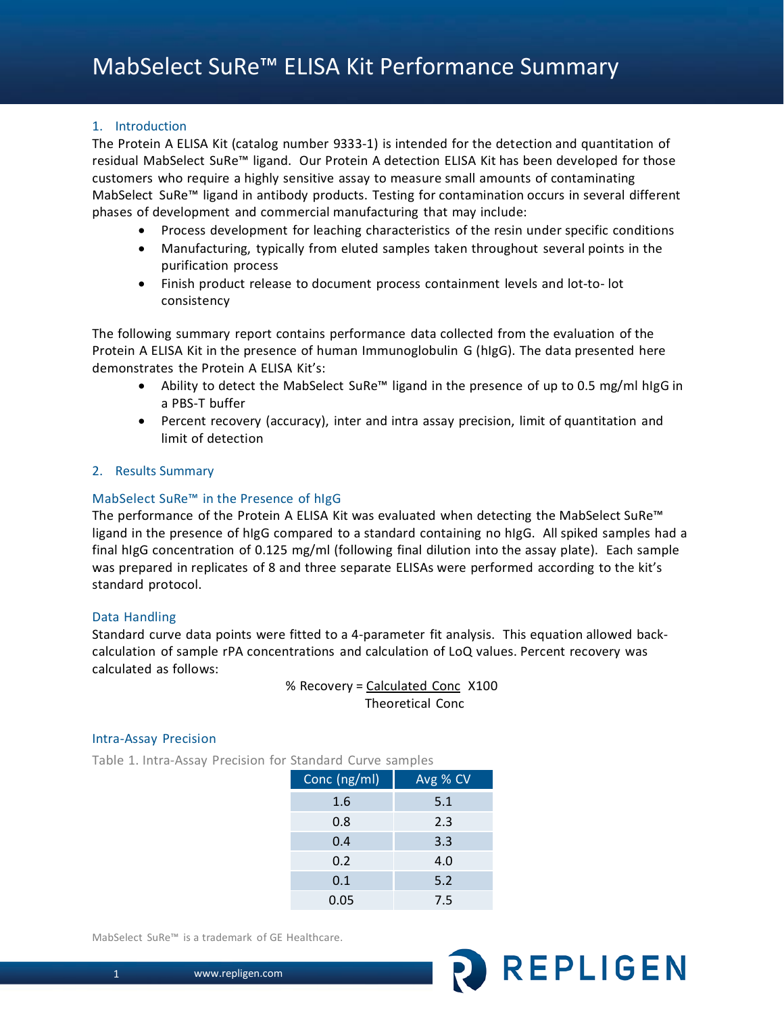## 1. Introduction

The Protein A ELISA Kit (catalog number 9333-1) is intended for the detection and quantitation of residual MabSelect SuRe™ ligand. Our Protein A detection ELISA Kit has been developed for those customers who require a highly sensitive assay to measure small amounts of contaminating MabSelect SuRe™ ligand in antibody products. Testing for contamination occurs in several different phases of development and commercial manufacturing that may include:

- Process development for leaching characteristics of the resin under specific conditions
- Manufacturing, typically from eluted samples taken throughout several points in the purification process
- Finish product release to document process containment levels and lot-to- lot consistency

The following summary report contains performance data collected from the evaluation of the Protein A ELISA Kit in the presence of human Immunoglobulin G (hIgG). The data presented here demonstrates the Protein A ELISA Kit's:

- Ability to detect the MabSelect SuRe™ ligand in the presence of up to 0.5 mg/ml hIgG in a PBS-T buffer
- Percent recovery (accuracy), inter and intra assay precision, limit of quantitation and limit of detection

## 2. Results Summary

## MabSelect SuRe™ in the Presence of hIgG

The performance of the Protein A ELISA Kit was evaluated when detecting the MabSelect SuRe™ ligand in the presence of hIgG compared to a standard containing no hIgG. All spiked samples had a final hIgG concentration of 0.125 mg/ml (following final dilution into the assay plate). Each sample was prepared in replicates of 8 and three separate ELISAs were performed according to the kit's standard protocol.

## Data Handling

Standard curve data points were fitted to a 4-parameter fit analysis. This equation allowed backcalculation of sample rPA concentrations and calculation of LoQ values. Percent recovery was calculated as follows:

> % Recovery = Calculated Conc X100 Theoretical Conc

## Intra-Assay Precision

Table 1. Intra-Assay Precision for Standard Curve samples

| Conc (ng/ml) | Avg % CV |
|--------------|----------|
| 1.6          | 5.1      |
| 0.8          | 2.3      |
| 0.4          | 3.3      |
| 0.2          | 4.0      |
| 0.1          | 5.2      |
| 0.05         | 7.5      |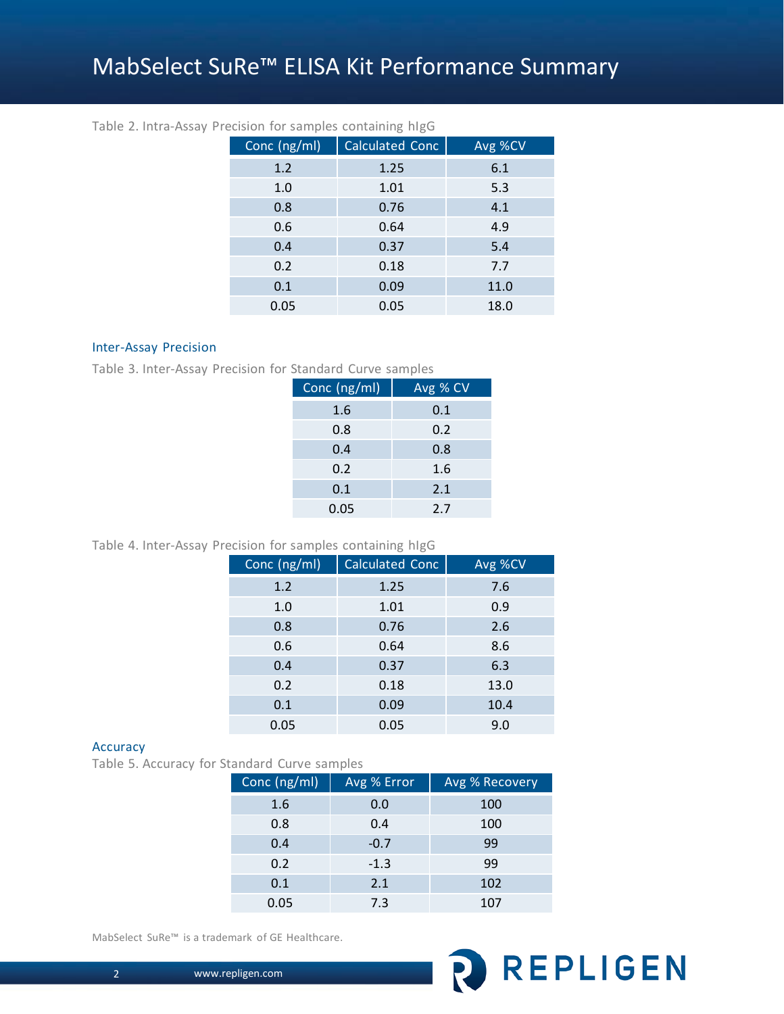# MabSelect SuRe™ ELISA Kit Performance Summary

| Conc (ng/ml) | <b>Calculated Conc</b> | Avg %CV |
|--------------|------------------------|---------|
| 1.2          | 1.25                   | 6.1     |
| 1.0          | 1.01                   | 5.3     |
| 0.8          | 0.76                   | 4.1     |
| 0.6          | 0.64                   | 4.9     |
| 0.4          | 0.37                   | 5.4     |
| 0.2          | 0.18                   | 7.7     |
| 0.1          | 0.09                   | 11.0    |
| 0.05         | 0.05                   | 18.0    |

## Table 2. Intra-Assay Precision for samples containing hIgG

## Inter-Assay Precision

Table 3. Inter-Assay Precision for Standard Curve samples

| Conc (ng/ml) | Avg % CV |
|--------------|----------|
| 1.6          | 0.1      |
| 0.8          | 0.2      |
| 0.4          | 0.8      |
| 0.2          | 1.6      |
| 0.1          | 2.1      |
| 0.05         | 2.7      |

## Table 4. Inter-Assay Precision for samples containing hIgG

| Conc (ng/ml) | <b>Calculated Conc</b> | Avg %CV |
|--------------|------------------------|---------|
| 1.2          | 1.25                   | 7.6     |
| 1.0          | 1.01                   | 0.9     |
| 0.8          | 0.76                   | 2.6     |
| 0.6          | 0.64                   | 8.6     |
| 0.4          | 0.37                   | 6.3     |
| 0.2          | 0.18                   | 13.0    |
| 0.1          | 0.09                   | 10.4    |
| 0.05         | 0.05                   | 9.0     |

#### Accuracy

Table 5. Accuracy for Standard Curve samples

| Conc (ng/ml) | Avg % Error | Avg % Recovery |  |  |
|--------------|-------------|----------------|--|--|
| 1.6          | 0.0         | 100            |  |  |
| 0.8          | 0.4         | 100            |  |  |
| 0.4          | $-0.7$      | 99             |  |  |
| 0.2          | $-1.3$      | 99             |  |  |
| 0.1          | 2.1         | 102            |  |  |
| 0.05         | 7.3         | 107            |  |  |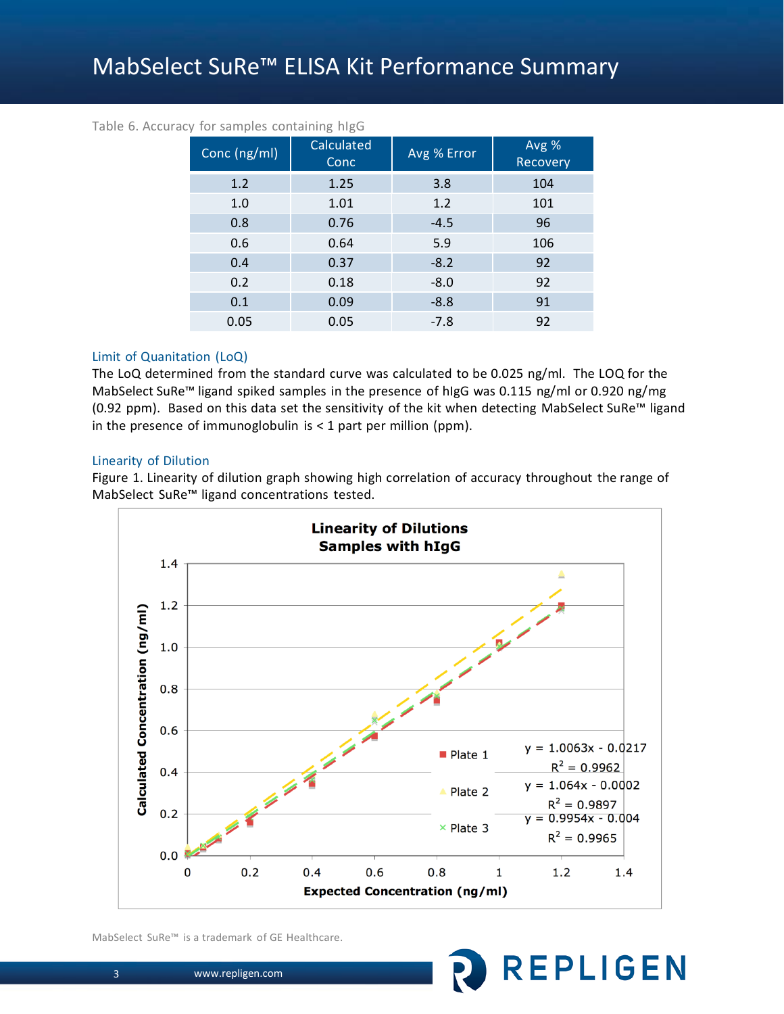## MabSelect SuRe™ ELISA Kit Performance Summary

| Conc (ng/ml) | Calculated<br>Conc | Avg % Error | Avg %<br>Recovery |
|--------------|--------------------|-------------|-------------------|
| 1.2          | 1.25               | 3.8         | 104               |
| 1.0          | 1.01               | 1.2         | 101               |
| 0.8          | 0.76               | $-4.5$      | 96                |
| 0.6          | 0.64               | 5.9         | 106               |
| 0.4          | 0.37               | $-8.2$      | 92                |
| 0.2          | 0.18               | $-8.0$      | 92                |
| 0.1          | 0.09               | $-8.8$      | 91                |
| 0.05         | 0.05               | $-7.8$      | 92                |

## Table 6. Accuracy for samples containing hIgG

## Limit of Quanitation (LoQ)

The LoQ determined from the standard curve was calculated to be 0.025 ng/ml. The LOQ for the MabSelect SuRe™ ligand spiked samples in the presence of hIgG was 0.115 ng/ml or 0.920 ng/mg (0.92 ppm). Based on this data set the sensitivity of the kit when detecting MabSelect SuRe™ ligand in the presence of immunoglobulin is  $<$  1 part per million (ppm).

#### Linearity of Dilution

Figure 1. Linearity of dilution graph showing high correlation of accuracy throughout the range of MabSelect SuRe™ ligand concentrations tested.